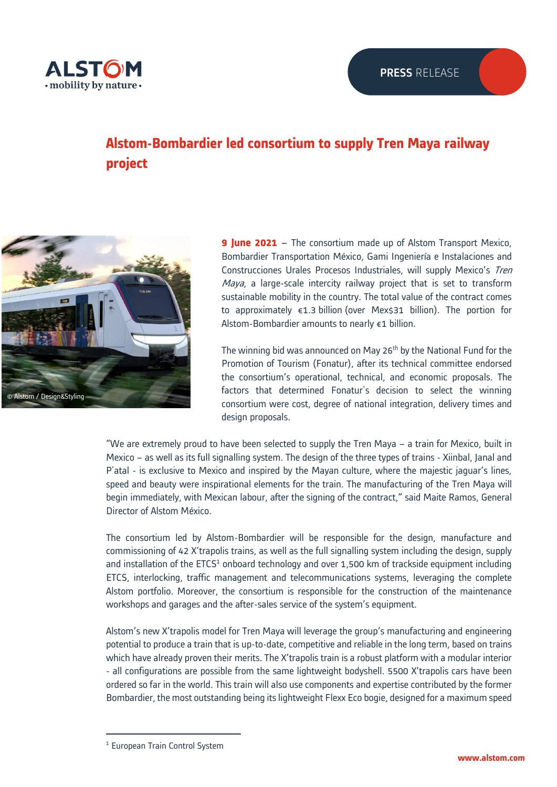

## **Alstom-Bombardier led consortium to supply Tren Maya railway project**



**9 June 2021** – The consortium made up of Alstom Transport Mexico, Bombardier Transportation México, Gami Ingeniería e Instalaciones and Construcciones Urales Procesos Industriales, will supply Mexico's Tren Maya, a large-scale intercity railway project that is set to transform sustainable mobility in the country. The total value of the contract comes to approximately  $\epsilon$ 1.3 billion (over Mex\$31 billion). The portion for Alstom-Bombardier amounts to nearly €1 billion.

The winning bid was announced on May 26<sup>th</sup> by the National Fund for the Promotion of Tourism (Fonatur), after its technical committee endorsed the consortium's operational, technical, and economic proposals. The factors that determined Fonatur's decision to select the winning consortium were cost, degree of national integration, delivery times and design proposals.

"We are extremely proud to have been selected to supply the Tren Maya – a train for Mexico, built in Mexico – as well as its full signalling system. The design of the three types of trains - Xiinbal, Janal and P'atal - is exclusive to Mexico and inspired by the Mayan culture, where the majestic jaguar's lines, speed and beauty were inspirational elements for the train. The manufacturing of the Tren Maya will begin immediately, with Mexican labour, after the signing of the contract," said Maite Ramos, General Director of Alstom México.

The consortium led by Alstom-Bombardier will be responsible for the design, manufacture and commissioning of 42 X'trapolis trains, as well as the full signalling system including the design, supply and installation of the ETCS<sup>1</sup> onboard technology and over 1,500 km of trackside equipment including ETCS, interlocking, traffic management and telecommunications systems, leveraging the complete Alstom portfolio. Moreover, the consortium is responsible for the construction of the maintenance workshops and garages and the after-sales service of the system's equipment.

Alstom's new X'trapolis model for Tren Maya will leverage the group's manufacturing and engineering potential to produce a train that is up-to-date, competitive and reliable in the long term, based on trains which have already proven their merits. The X'trapolis train is a robust platform with a modular interior - all configurations are possible from the same lightweight bodyshell. 5500 X'trapolis cars have been ordered so far in the world. This train will also use components and expertise contributed by the former Bombardier, the most outstanding being its lightweight Flexx Eco bogie, designed for a maximum speed

<sup>&</sup>lt;sup>1</sup> European Train Control System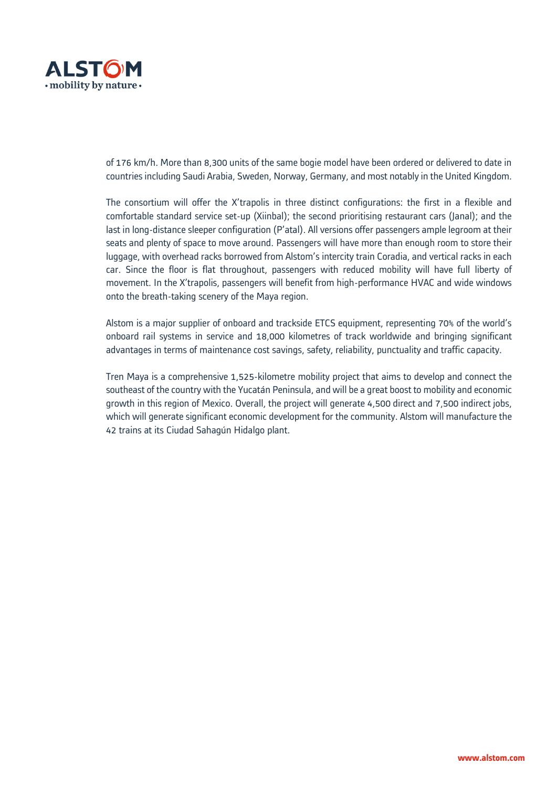

of 176 km/h. More than 8,300 units of the same bogie model have been ordered or delivered to date in countries including Saudi Arabia, Sweden, Norway, Germany, and most notably in the United Kingdom.

The consortium will offer the X'trapolis in three distinct configurations: the first in a flexible and comfortable standard service set-up (Xiinbal); the second prioritising restaurant cars (Janal); and the last in long-distance sleeper configuration (P'atal). All versions offer passengers ample legroom at their seats and plenty of space to move around. Passengers will have more than enough room to store their luggage, with overhead racks borrowed from Alstom's intercity train Coradia, and vertical racks in each car. Since the floor is flat throughout, passengers with reduced mobility will have full liberty of movement. In the X'trapolis, passengers will benefit from high-performance HVAC and wide windows onto the breath-taking scenery of the Maya region.

Alstom is a major supplier of onboard and trackside ETCS equipment, representing 70% of the world's onboard rail systems in service and 18,000 kilometres of track worldwide and bringing significant advantages in terms of maintenance cost savings, safety, reliability, punctuality and traffic capacity.

Tren Maya is a comprehensive 1,525-kilometre mobility project that aims to develop and connect the southeast of the country with the Yucatán Peninsula, and will be a great boost to mobility and economic growth in this region of Mexico. Overall, the project will generate 4,500 direct and 7,500 indirect jobs, which will generate significant economic development for the community. Alstom will manufacture the 42 trains at its Ciudad Sahagún Hidalgo plant.